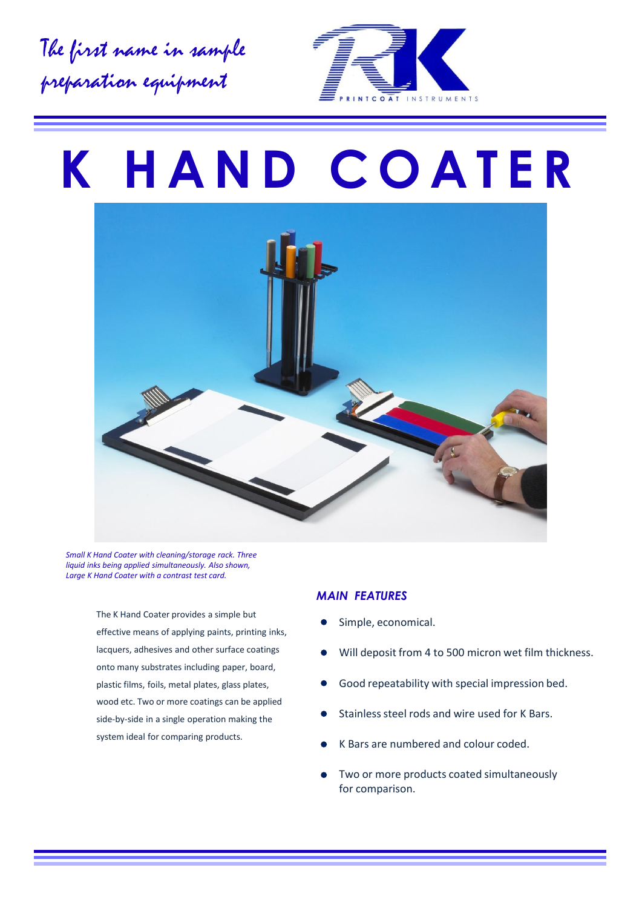The first name in sample preparation equipment



# **K H A N D C O A T E R**



*Small K Hand Coater with cleaning/storage rack. Three liquid inks being applied simultaneously. Also shown, Large K Hand Coater with a contrast test card.*

> The K Hand Coater provides a simple but effective means of applying paints, printing inks, lacquers, adhesives and other surface coatings onto many substrates including paper, board, plastic films, foils, metal plates, glass plates, wood etc. Two or more coatings can be applied side-by-side in a single operation making the system ideal for comparing products.

#### *MAIN FEATURES*

- Simple, economical.
- Will deposit from 4 to 500 micron wet film thickness.
- Good repeatability with special impression bed.  $\bullet$
- Stainless steel rods and wire used for K Bars.
- K Bars are numbered and colour coded.
- Two or more products coated simultaneously for comparison.